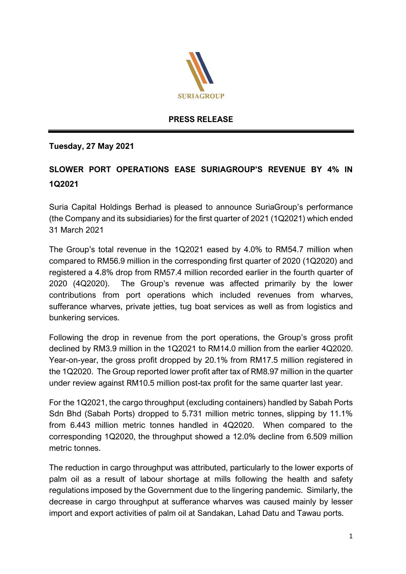

## **PRESS RELEASE**

## **Tuesday, 27 May 2021**

## **SLOWER PORT OPERATIONS EASE SURIAGROUP'S REVENUE BY 4% IN 1Q2021**

Suria Capital Holdings Berhad is pleased to announce SuriaGroup's performance (the Company and its subsidiaries) for the first quarter of 2021 (1Q2021) which ended 31 March 2021

The Group's total revenue in the 1Q2021 eased by 4.0% to RM54.7 million when compared to RM56.9 million in the corresponding first quarter of 2020 (1Q2020) and registered a 4.8% drop from RM57.4 million recorded earlier in the fourth quarter of 2020 (4Q2020). The Group's revenue was affected primarily by the lower contributions from port operations which included revenues from wharves, sufferance wharves, private jetties, tug boat services as well as from logistics and bunkering services.

Following the drop in revenue from the port operations, the Group's gross profit declined by RM3.9 million in the 1Q2021 to RM14.0 million from the earlier 4Q2020. Year-on-year, the gross profit dropped by 20.1% from RM17.5 million registered in the 1Q2020. The Group reported lower profit after tax of RM8.97 million in the quarter under review against RM10.5 million post-tax profit for the same quarter last year.

For the 1Q2021, the cargo throughput (excluding containers) handled by Sabah Ports Sdn Bhd (Sabah Ports) dropped to 5.731 million metric tonnes, slipping by 11.1% from 6.443 million metric tonnes handled in 4Q2020. When compared to the corresponding 1Q2020, the throughput showed a 12.0% decline from 6.509 million metric tonnes.

The reduction in cargo throughput was attributed, particularly to the lower exports of palm oil as a result of labour shortage at mills following the health and safety regulations imposed by the Government due to the lingering pandemic. Similarly, the decrease in cargo throughput at sufferance wharves was caused mainly by lesser import and export activities of palm oil at Sandakan, Lahad Datu and Tawau ports.